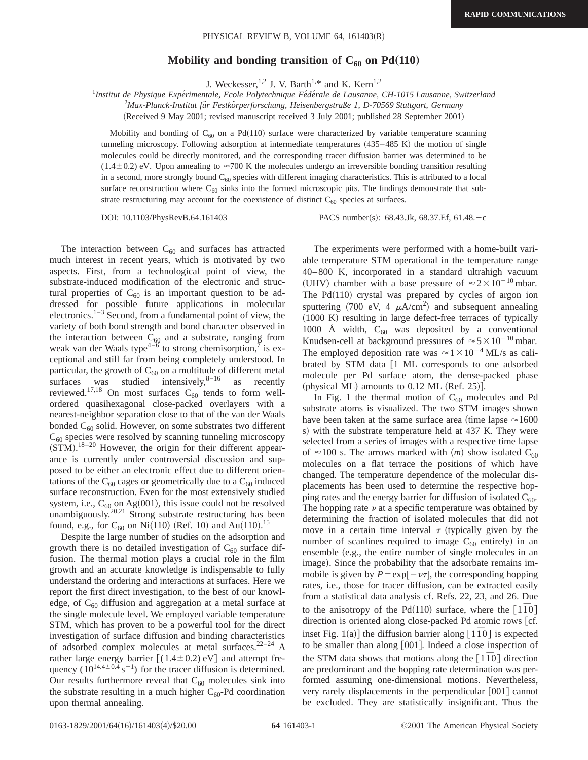## Mobility and bonding transition of  $C_{60}$  on Pd(110)

J. Weckesser,<sup>1,2</sup> J. V. Barth<sup>1,\*</sup> and K. Kern<sup>1,2</sup>

<sup>1</sup>Institut de Physique Expérimentale, Ecole Polytechnique Fédérale de Lausanne, CH-1015 Lausanne, Switzerland

2 *Max-Planck-Institut fu¨r Festko¨rperforschung, Heisenbergstraße 1, D-70569 Stuttgart, Germany*

(Received 9 May 2001; revised manuscript received 3 July 2001; published 28 September 2001)

Mobility and bonding of  $C_{60}$  on a Pd(110) surface were characterized by variable temperature scanning tunneling microscopy. Following adsorption at intermediate temperatures  $(435-485 \text{ K})$  the motion of single molecules could be directly monitored, and the corresponding tracer diffusion barrier was determined to be  $(1.4\pm0.2)$  eV. Upon annealing to  $\approx$ 700 K the molecules undergo an irreversible bonding transition resulting in a second, more strongly bound  $C_{60}$  species with different imaging characteristics. This is attributed to a local surface reconstruction where  $C_{60}$  sinks into the formed microscopic pits. The findings demonstrate that substrate restructuring may account for the coexistence of distinct  $C_{60}$  species at surfaces.

DOI: 10.1103/PhysRevB.64.161403 PACS number(s): 68.43.Jk, 68.37.Ef, 61.48.+c

The interaction between  $C_{60}$  and surfaces has attracted much interest in recent years, which is motivated by two aspects. First, from a technological point of view, the substrate-induced modification of the electronic and structural properties of  $C_{60}$  is an important question to be addressed for possible future applications in molecular electronics. $1-3$  Second, from a fundamental point of view, the variety of both bond strength and bond character observed in the interaction between  $C_{60}$  and a substrate, ranging from weak van der Waals type<sup>4–6</sup> to strong chemisorption,  $\bar{i}$  is exceptional and still far from being completely understood. In particular, the growth of  $C_{60}$  on a multitude of different metal surfaces was studied intensively, $8-16$  as recently reviewed.<sup>17,18</sup> On most surfaces  $C_{60}$  tends to form wellordered quasihexagonal close-packed overlayers with a nearest-neighbor separation close to that of the van der Waals bonded  $C_{60}$  solid. However, on some substrates two different  $C_{60}$  species were resolved by scanning tunneling microscopy  $(STM).$ <sup>18-20</sup> However, the origin for their different appearance is currently under controversial discussion and supposed to be either an electronic effect due to different orientations of the  $C_{60}$  cages or geometrically due to a  $C_{60}$  induced surface reconstruction. Even for the most extensively studied system, i.e.,  $C_{60}$  on Ag $(001)$ , this issue could not be resolved unambiguously.<sup>20,21</sup> Strong substrate restructuring has been found, e.g., for  $C_{60}$  on Ni(110) (Ref. 10) and Au(110).<sup>15</sup>

Despite the large number of studies on the adsorption and growth there is no detailed investigation of  $C_{60}$  surface diffusion. The thermal motion plays a crucial role in the film growth and an accurate knowledge is indispensable to fully understand the ordering and interactions at surfaces. Here we report the first direct investigation, to the best of our knowledge, of  $C_{60}$  diffusion and aggregation at a metal surface at the single molecule level. We employed variable temperature STM, which has proven to be a powerful tool for the direct investigation of surface diffusion and binding characteristics of adsorbed complex molecules at metal surfaces. $22-24$  A rather large energy barrier  $[(1.4 \pm 0.2) \text{ eV}]$  and attempt frequency  $(10^{14.4 \pm 0.4} \text{ s}^{-1})$  for the tracer diffusion is determined. Our results furthermore reveal that  $C_{60}$  molecules sink into the substrate resulting in a much higher  $C_{60}$ -Pd coordination upon thermal annealing.

The experiments were performed with a home-built variable temperature STM operational in the temperature range 40–800 K, incorporated in a standard ultrahigh vacuum (UHV) chamber with a base pressure of  $\approx 2 \times 10^{-10}$  mbar. The  $Pd(110)$  crystal was prepared by cycles of argon ion sputtering (700 eV, 4  $\mu$ A/cm<sup>2</sup>) and subsequent annealing  $(1000)$  K) resulting in large defect-free terraces of typically 1000 Å width,  $C_{60}$  was deposited by a conventional Knudsen-cell at background pressures of  $\approx 5 \times 10^{-10}$  mbar. The employed deposition rate was  $\approx 1 \times 10^{-4}$  ML/s as calibrated by STM data  $[1 \text{ ML corresponds to one adsorbed}]$ molecule per Pd surface atom, the dense-packed phase (physical ML) amounts to  $0.12$  ML (Ref. 25).

In Fig. 1 the thermal motion of  $C_{60}$  molecules and Pd substrate atoms is visualized. The two STM images shown have been taken at the same surface area (time lapse  $\approx 1600$ ) s) with the substrate temperature held at 437 K. They were selected from a series of images with a respective time lapse of  $\approx$ 100 s. The arrows marked with (*m*) show isolated C<sub>60</sub> molecules on a flat terrace the positions of which have changed. The temperature dependence of the molecular displacements has been used to determine the respective hopping rates and the energy barrier for diffusion of isolated  $C_{60}$ . The hopping rate  $\nu$  at a specific temperature was obtained by determining the fraction of isolated molecules that did not move in a certain time interval  $\tau$  (typically given by the number of scanlines required to image  $C_{60}$  entirely) in an ensemble (e.g., the entire number of single molecules in an image). Since the probability that the adsorbate remains immobile is given by  $P = \exp[-\nu\tau]$ , the corresponding hopping rates, i.e., those for tracer diffusion, can be extracted easily from a statistical data analysis cf. Refs. 22, 23, and 26. Due to the anisotropy of the Pd<sup> $(110)$ </sup> surface, where the  $\lceil 1\overline{1}0 \rceil$ direction is oriented along close-packed Pd atomic rows [cf. inset Fig. 1(a)] the diffusion barrier along  $[1\overline{1}0]$  is expected to be smaller than along  $[001]$ . Indeed a close inspection of the STM data shows that motions along the  $\lceil 1\bar{1}0 \rceil$  direction are predominant and the hopping rate determination was performed assuming one-dimensional motions. Nevertheless, very rarely displacements in the perpendicular  $[001]$  cannot be excluded. They are statistically insignificant. Thus the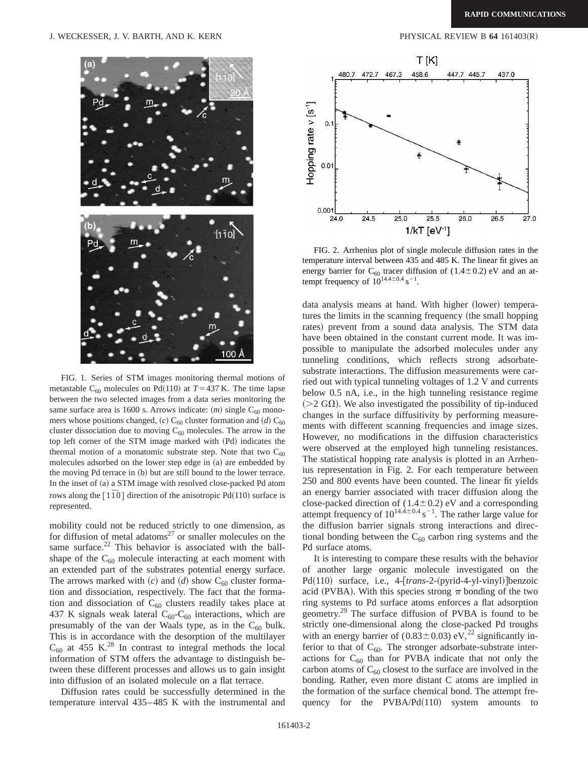

FIG. 1. Series of STM images monitoring thermal motions of metastable C<sub>60</sub> molecules on Pd<sup> $(110)$ </sup> at  $T=437$  K. The time lapse between the two selected images from a data series monitoring the same surface area is 1600 s. Arrows indicate:  $(m)$  single C<sub>60</sub> monomers whose positions changed,  $(c)$  C<sub>60</sub> cluster formation and  $(d)$  C<sub>60</sub> cluster dissociation due to moving  $C_{60}$  molecules. The arrow in the top left corner of the STM image marked with (Pd) indicates the thermal motion of a monatomic substrate step. Note that two  $C_{60}$ molecules adsorbed on the lower step edge in (a) are embedded by the moving Pd terrace in (b) but are still bound to the lower terrace. In the inset of (a) a STM image with resolved close-packed Pd atom rows along the  $[1\overline{1}0]$  direction of the anisotropic Pd(110) surface is represented.

mobility could not be reduced strictly to one dimension, as for diffusion of metal adatoms<sup>27</sup> or smaller molecules on the same surface. $22$  This behavior is associated with the ballshape of the  $C_{60}$  molecule interacting at each moment with an extended part of the substrates potential energy surface. The arrows marked with  $(c)$  and  $(d)$  show C<sub>60</sub> cluster formation and dissociation, respectively. The fact that the formation and dissociation of  $C_{60}$  clusters readily takes place at 437 K signals weak lateral  $C_{60}$ - $C_{60}$  interactions, which are presumably of the van der Waals type, as in the  $C_{60}$  bulk. This is in accordance with the desorption of the multilayer  $C_{60}$  at 455 K.<sup>28</sup> In contrast to integral methods the local information of STM offers the advantage to distinguish between these different processes and allows us to gain insight into diffusion of an isolated molecule on a flat terrace.

Diffusion rates could be successfully determined in the temperature interval 435–485 K with the instrumental and



FIG. 2. Arrhenius plot of single molecule diffusion rates in the temperature interval between 435 and 485 K. The linear fit gives an energy barrier for  $C_{60}$  tracer diffusion of (1.4±0.2) eV and an attempt frequency of  $10^{14.4 \pm 0.4}$  s<sup>-1</sup>.

data analysis means at hand. With higher (lower) temperatures the limits in the scanning frequency (the small hopping rates) prevent from a sound data analysis. The STM data have been obtained in the constant current mode. It was impossible to manipulate the adsorbed molecules under any tunneling conditions, which reflects strong adsorbatesubstrate interactions. The diffusion measurements were carried out with typical tunneling voltages of 1.2 V and currents below 0.5 nA, i.e., in the high tunneling resistance regime  $(>=2 \text{ G}\Omega)$ . We also investigated the possibility of tip-induced changes in the surface diffusitivity by performing measurements with different scanning frequencies and image sizes. However, no modifications in the diffusion characteristics were observed at the employed high tunneling resistances. The statistical hopping rate analysis is plotted in an Arrhenius representation in Fig. 2. For each temperature between 250 and 800 events have been counted. The linear fit yields an energy barrier associated with tracer diffusion along the close-packed direction of  $(1.4 \pm 0.2)$  eV and a corresponding attempt frequency of  $10^{14.4 \pm 0.4}$  s<sup>-1</sup>. The rather large value for the diffusion barrier signals strong interactions and directional bonding between the  $C_{60}$  carbon ring systems and the Pd surface atoms.

It is interesting to compare these results with the behavior of another large organic molecule investigated on the Pd(110) surface, i.e., 4-[trans-2-(pyrid-4-yl-vinyl)]benzoic acid (PVBA). With this species strong  $\pi$  bonding of the two ring systems to Pd surface atoms enforces a flat adsorption geometry.29 The surface diffusion of PVBA is found to be strictly one-dimensional along the close-packed Pd troughs with an energy barrier of  $(0.83 \pm 0.03)$  eV,<sup>22</sup> significantly inferior to that of  $C_{60}$ . The stronger adsorbate-substrate interactions for  $C_{60}$  than for PVBA indicate that not only the carbon atoms of  $C_{60}$  closest to the surface are involved in the bonding. Rather, even more distant C atoms are implied in the formation of the surface chemical bond. The attempt frequency for the  $PVBA/Pd(110)$  system amounts to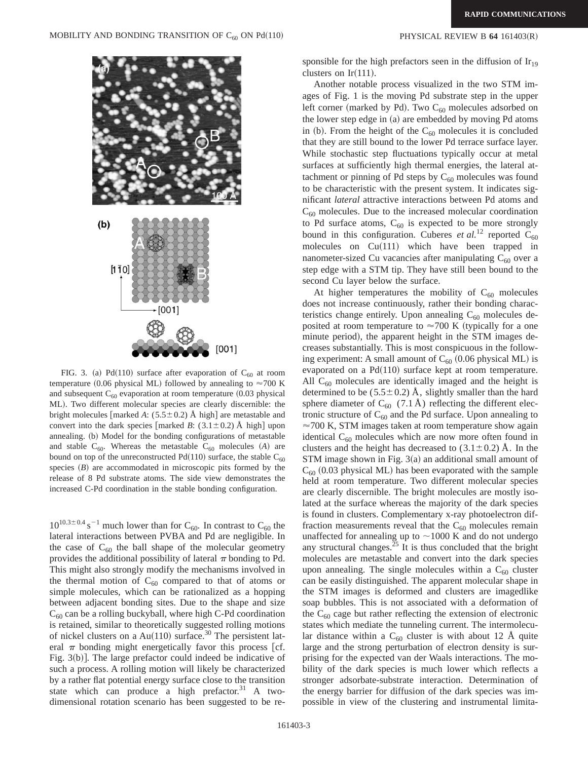![](_page_2_Figure_2.jpeg)

FIG. 3. (a) Pd(110) surface after evaporation of  $C_{60}$  at room temperature (0.06 physical ML) followed by annealing to  $\approx$ 700 K and subsequent  $C_{60}$  evaporation at room temperature (0.03 physical ML). Two different molecular species are clearly discernible: the bright molecules  $\lceil$ marked *A*: (5.5 $\pm$ 0.2) Å high $\lceil$  are metastable and convert into the dark species  $\lceil$ marked *B*: (3.1±0.2) Å high $\lceil$  upon annealing. (b) Model for the bonding configurations of metastable and stable  $C_{60}$ . Whereas the metastable  $C_{60}$  molecules  $(A)$  are bound on top of the unreconstructed Pd(110) surface, the stable  $C_{60}$ species  $(B)$  are accommodated in microscopic pits formed by the release of 8 Pd substrate atoms. The side view demonstrates the increased C-Pd coordination in the stable bonding configuration.

 $10^{10.3\pm0.4}$  s<sup>-1</sup> much lower than for C<sub>60</sub>. In contrast to C<sub>60</sub> the lateral interactions between PVBA and Pd are negligible. In the case of  $C_{60}$  the ball shape of the molecular geometry provides the additional possibility of lateral  $\pi$  bonding to Pd. This might also strongly modify the mechanisms involved in the thermal motion of  $C_{60}$  compared to that of atoms or simple molecules, which can be rationalized as a hopping between adjacent bonding sites. Due to the shape and size  $C_{60}$  can be a rolling buckyball, where high C-Pd coordination is retained, similar to theoretically suggested rolling motions of nickel clusters on a Au(110) surface.<sup>30</sup> The persistent lateral  $\pi$  bonding might energetically favor this process [cf. Fig.  $3(b)$ ]. The large prefactor could indeed be indicative of such a process. A rolling motion will likely be characterized by a rather flat potential energy surface close to the transition state which can produce a high prefactor. $31$  A twodimensional rotation scenario has been suggested to be responsible for the high prefactors seen in the diffusion of  $Ir_{19}$ clusters on Ir $(111)$ .

Another notable process visualized in the two STM images of Fig. 1 is the moving Pd substrate step in the upper left corner (marked by Pd). Two  $C_{60}$  molecules adsorbed on the lower step edge in  $(a)$  are embedded by moving Pd atoms in (b). From the height of the  $C_{60}$  molecules it is concluded that they are still bound to the lower Pd terrace surface layer. While stochastic step fluctuations typically occur at metal surfaces at sufficiently high thermal energies, the lateral attachment or pinning of Pd steps by  $C_{60}$  molecules was found to be characteristic with the present system. It indicates significant *lateral* attractive interactions between Pd atoms and  $C_{60}$  molecules. Due to the increased molecular coordination to Pd surface atoms,  $C_{60}$  is expected to be more strongly bound in this configuration. Cuberes *et al.*<sup>12</sup> reported  $\tilde{C}_{60}$ molecules on  $Cu(111)$  which have been trapped in nanometer-sized Cu vacancies after manipulating  $C_{60}$  over a step edge with a STM tip. They have still been bound to the second Cu layer below the surface.

At higher temperatures the mobility of  $C_{60}$  molecules does not increase continuously, rather their bonding characteristics change entirely. Upon annealing  $C_{60}$  molecules deposited at room temperature to  $\approx$ 700 K (typically for a one minute period), the apparent height in the STM images decreases substantially. This is most conspicuous in the following experiment: A small amount of  $C_{60}$  (0.06 physical ML) is evaporated on a  $Pd(110)$  surface kept at room temperature. All  $C_{60}$  molecules are identically imaged and the height is determined to be  $(5.5\pm0.2)$  Å, slightly smaller than the hard sphere diameter of  $C_{60}$  (7.1 Å) reflecting the different electronic structure of  $C_{60}$  and the Pd surface. Upon annealing to  $\approx$  700 K, STM images taken at room temperature show again identical  $C_{60}$  molecules which are now more often found in clusters and the height has decreased to  $(3.1 \pm 0.2)$  Å. In the STM image shown in Fig.  $3(a)$  an additional small amount of  $C_{60}$  (0.03 physical ML) has been evaporated with the sample held at room temperature. Two different molecular species are clearly discernible. The bright molecules are mostly isolated at the surface whereas the majority of the dark species is found in clusters. Complementary x-ray photoelectron diffraction measurements reveal that the  $C_{60}$  molecules remain unaffected for annealing up to  $\sim$ 1000 K and do not undergo any structural changes.<sup>25</sup> It is thus concluded that the bright molecules are metastable and convert into the dark species upon annealing. The single molecules within a  $C_{60}$  cluster can be easily distinguished. The apparent molecular shape in the STM images is deformed and clusters are imagedlike soap bubbles. This is not associated with a deformation of the  $C_{60}$  cage but rather reflecting the extension of electronic states which mediate the tunneling current. The intermolecular distance within a  $C_{60}$  cluster is with about 12 Å quite large and the strong perturbation of electron density is surprising for the expected van der Waals interactions. The mobility of the dark species is much lower which reflects a stronger adsorbate-substrate interaction. Determination of the energy barrier for diffusion of the dark species was impossible in view of the clustering and instrumental limita